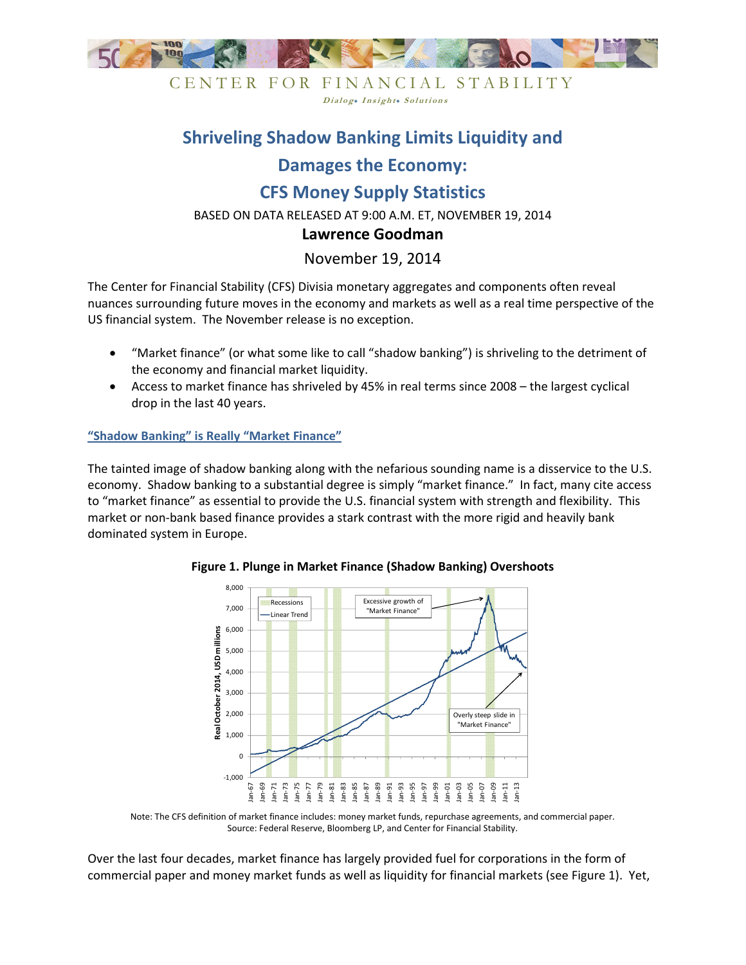

CENTER FOR FINANCIAL STABILITY Dialog. Insight. Solutions

## **Shriveling Shadow Banking Limits Liquidity and**

# **Damages the Economy:**

# **CFS Money Supply Statistics**

BASED ON DATA RELEASED AT 9:00 A.M. ET, NOVEMBER 19, 2014

### **Lawrence Goodman**

## November 19, 2014

The Center for Financial Stability (CFS) Divisia monetary aggregates and components often reveal nuances surrounding future moves in the economy and markets as well as a real time perspective of the US financial system. The November release is no exception.

- "Market finance" (or what some like to call "shadow banking") is shriveling to the detriment of the economy and financial market liquidity.
- Access to market finance has shriveled by 45% in real terms since 2008 the largest cyclical drop in the last 40 years.

**"Shadow Banking" is Really "Market Finance"** 

The tainted image of shadow banking along with the nefarious sounding name is a disservice to the U.S. economy. Shadow banking to a substantial degree is simply "market finance." In fact, many cite access to "market finance" as essential to provide the U.S. financial system with strength and flexibility. This market or non-bank based finance provides a stark contrast with the more rigid and heavily bank dominated system in Europe.



**Figure 1. Plunge in Market Finance (Shadow Banking) Overshoots** 

Over the last four decades, market finance has largely provided fuel for corporations in the form of commercial paper and money market funds as well as liquidity for financial markets (see Figure 1). Yet,

Note: The CFS definition of market finance includes: money market funds, repurchase agreements, and commercial paper. Source: Federal Reserve, Bloomberg LP, and Center for Financial Stability.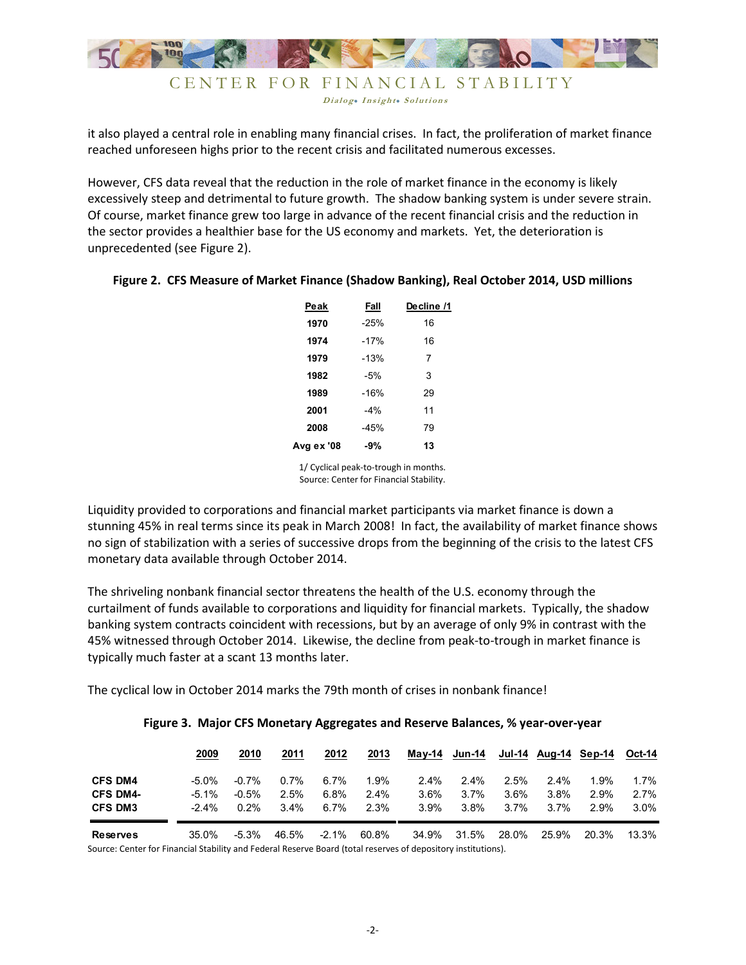

Dialog. Insight. Solutions

it also played a central role in enabling many financial crises. In fact, the proliferation of market finance reached unforeseen highs prior to the recent crisis and facilitated numerous excesses.

However, CFS data reveal that the reduction in the role of market finance in the economy is likely excessively steep and detrimental to future growth. The shadow banking system is under severe strain. Of course, market finance grew too large in advance of the recent financial crisis and the reduction in the sector provides a healthier base for the US economy and markets. Yet, the deterioration is unprecedented (see Figure 2).

| Peak       | Fall   | Decline /1 |
|------------|--------|------------|
| 1970       | $-25%$ | 16         |
| 1974       | $-17%$ | 16         |
| 1979       | $-13%$ | 7          |
| 1982       | -5%    | 3          |
| 1989       | $-16%$ | 29         |
| 2001       | $-4%$  | 11         |
| 2008       | $-45%$ | 79         |
| Avg ex '08 | $-9%$  | 13         |
|            |        |            |

### **Figure 2. CFS Measure of Market Finance (Shadow Banking), Real October 2014, USD millions**

1/ Cyclical peak-to-trough in months. Source: Center for Financial Stability.

Liquidity provided to corporations and financial market participants via market finance is down a stunning 45% in real terms since its peak in March 2008! In fact, the availability of market finance shows no sign of stabilization with a series of successive drops from the beginning of the crisis to the latest CFS monetary data available through October 2014.

The shriveling nonbank financial sector threatens the health of the U.S. economy through the curtailment of funds available to corporations and liquidity for financial markets. Typically, the shadow banking system contracts coincident with recessions, but by an average of only 9% in contrast with the 45% witnessed through October 2014. Likewise, the decline from peak-to-trough in market finance is typically much faster at a scant 13 months later.

The cyclical low in October 2014 marks the 79th month of crises in nonbank finance!

|                 | 2009     | 2010     | 2011    | 2012     | 2013    | Mav-14  | Jun-14  |       |         | Jul-14 Aug-14 Sep-14 | Oct-14  |
|-----------------|----------|----------|---------|----------|---------|---------|---------|-------|---------|----------------------|---------|
| <b>CFS DM4</b>  | $-5.0\%$ | $-0.7\%$ | $0.7\%$ | 6.7%     | 1.9%    | 2.4%    | $2.4\%$ | 2.5%  | $2.4\%$ | $1.9\%$              | $1.7\%$ |
| <b>CFS DM4-</b> | $-5.1\%$ | $-0.5%$  | 2.5%    | 6.8%     | $2.4\%$ | $3.6\%$ | $3.7\%$ | 3.6%  | 3.8%    | 2.9%                 | $2.7\%$ |
| <b>CFS DM3</b>  | $-2.4\%$ | 0.2%     | $3.4\%$ | 6.7%     | 2.3%    | $3.9\%$ | 3.8%    | 3.7%  | $3.7\%$ | 2.9%                 | $3.0\%$ |
| <b>Reserves</b> | 35.0%    | $-5.3\%$ | 46.5%   | $-2.1\%$ | 60.8%   | 34.9%   | 31.5%   | 28.0% | 25.9%   | 20.3%                | 13.3%   |

### **Figure 3. Major CFS Monetary Aggregates and Reserve Balances, % year-over-year**

Source: Center for Financial Stability and Federal Reserve Board (total reserves of depository institutions).